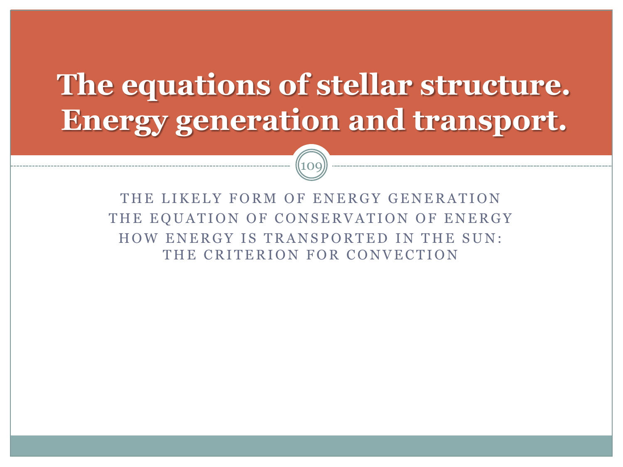#### **The equations of stellar structure. Energy generation and transport.**



THE LIKELY FORM OF ENERGY GENERATION THE EQUATION OF CONSERVATION OF ENERGY HOW ENERGY IS TRANSPORTED IN THE SUN: THE CRITERION FOR CONVECTION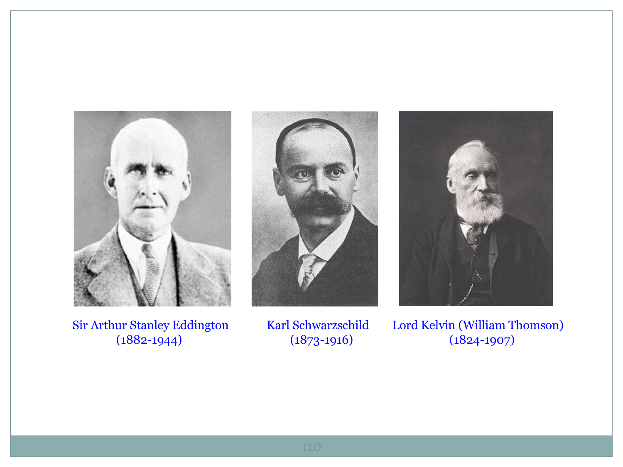





Sir Arthur Stanley Eddington Karl Schwarzschild Lord Kelvin (William Thomson)<br>(1882-1944) (1873-1916) (1824-1907) (1882-1944) (1873-1916) (1824-1907)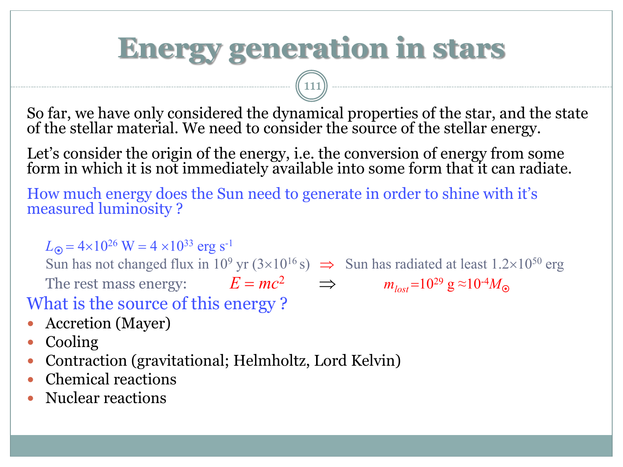### **Energy generation in stars**

So far, we have only considered the dynamical properties of the star, and the state of the stellar material. We need to consider the source of the stellar energy.

Let's consider the origin of the energy, i.e. the conversion of energy from some form in which it is not immediately available into some form that it can radiate.

How much energy does the Sun need to generate in order to shine with it's measured luminosity ?

 $\hspace{1.5cm} (111)$ 

 $L_{\odot}$  = 4×10<sup>26</sup> W = 4 ×10<sup>33</sup> erg s<sup>-1</sup>

Sun has not changed flux in 10<sup>9</sup> yr  $(3\times10^{16} s)$   $\Rightarrow$  Sun has radiated at least 1.2×10<sup>50</sup> erg

The rest mass energy:  $E = mc^2$   $\implies$   $m_{lost} = 10^{29} \text{ g} \approx 10^{-4} M_{\odot}$ What is the source of this energy ?

- Accretion (Mayer)
- Cooling
- Contraction (gravitational; Helmholtz, Lord Kelvin)
- Chemical reactions
- Nuclear reactions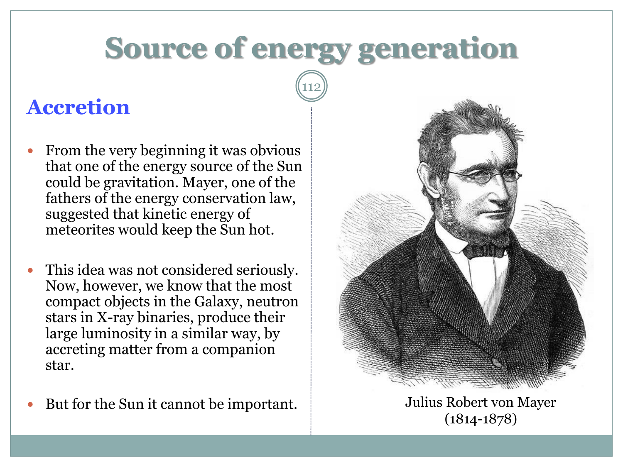### **Source of energy generation**

112

#### **Accretion**

- From the very beginning it was obvious that one of the energy source of the Sun could be gravitation. Mayer, one of the fathers of the energy conservation law, suggested that kinetic energy of meteorites would keep the Sun hot.
- This idea was not considered seriously. Now, however, we know that the most compact objects in the Galaxy, neutron stars in X-ray binaries, produce their large luminosity in a similar way, by accreting matter from a companion star.
- But for the Sun it cannot be important. Julius Robert von Mayer



(1814-1878)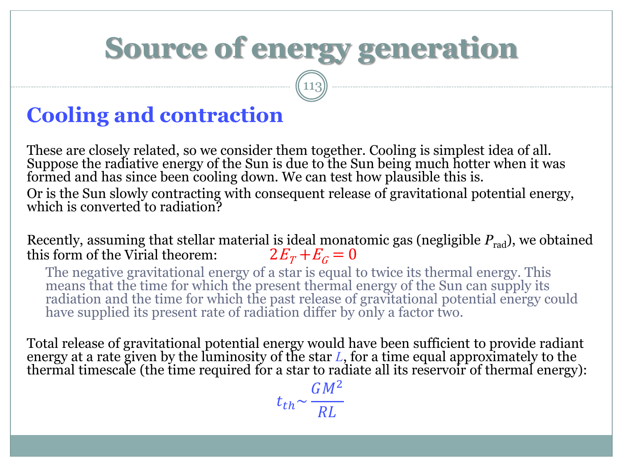### **Source of energy generation**

113

#### **Cooling and contraction**

These are closely related, so we consider them together. Cooling is simplest idea of all. Suppose the radiative energy of the Sun is due to the Sun being much hotter when it was formed and has since been cooling down. We can test how plausible this is. Or is the Sun slowly contracting with consequent release of gravitational potential energy, which is converted to radiation?

Recently, assuming that stellar material is ideal monatomic gas (negligible  $P_{rad}$ ), we obtained this form of the Virial theorem:  $2E_T + E_C = 0$ this form of the Virial theorem:

The negative gravitational energy of a star is equal to twice its thermal energy. This means that the time for which the present thermal energy of the Sun can supply its radiation and the time for which the past release of gravitational potential energy could have supplied its present rate of radiation differ by only a factor two.

Total release of gravitational potential energy would have been sufficient to provide radiant energy at a rate given by the luminosity of the star *L*, for a time equal approximately to the thermal timescale (the time required for a star to radiate all its reservoir of thermal energy):

> $t_{th}$ ~  $GM^2$  $RL$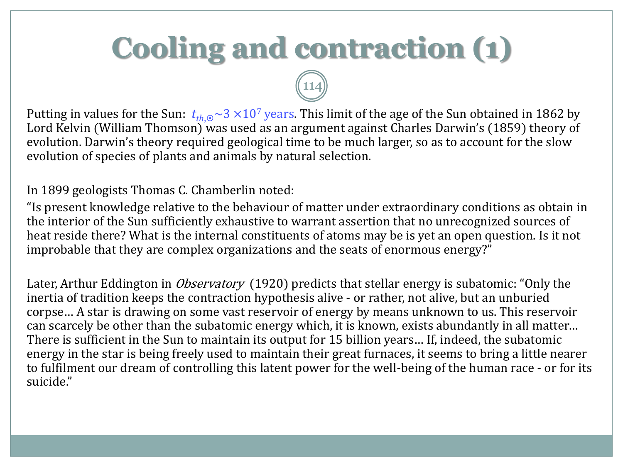## **Cooling and contraction (1)**

Putting in values for the Sun:  $t_{th,0}$  ~ 3  $\times$  10<sup>7</sup> years. This limit of the age of the Sun obtained in 1862 by Lord Kelvin (William Thomson) was used as an argument against Charles Darwin's (1859) theory of evolution. Darwin's theory required geological time to be much larger, so as to account for the slow evolution of species of plants and animals by natural selection.

(114)

In 1899 geologists Thomas C. Chamberlin noted:

"Is present knowledge relative to the behaviour of matter under extraordinary conditions as obtain in the interior of the Sun sufficiently exhaustive to warrant assertion that no unrecognized sources of heat reside there? What is the internal constituents of atoms may be is yet an open question. Is it not improbable that they are complex organizations and the seats of enormous energy?"

Later, Arthur Eddington in *Observatory* (1920) predicts that stellar energy is subatomic: "Only the inertia of tradition keeps the contraction hypothesis alive - or rather, not alive, but an unburied corpse… A star is drawing on some vast reservoir of energy by means unknown to us. This reservoir can scarcely be other than the subatomic energy which, it is known, exists abundantly in all matter… There is sufficient in the Sun to maintain its output for 15 billion years… If, indeed, the subatomic energy in the star is being freely used to maintain their great furnaces, it seems to bring a little nearer to fulfilment our dream of controlling this latent power for the well-being of the human race - or for its suicide."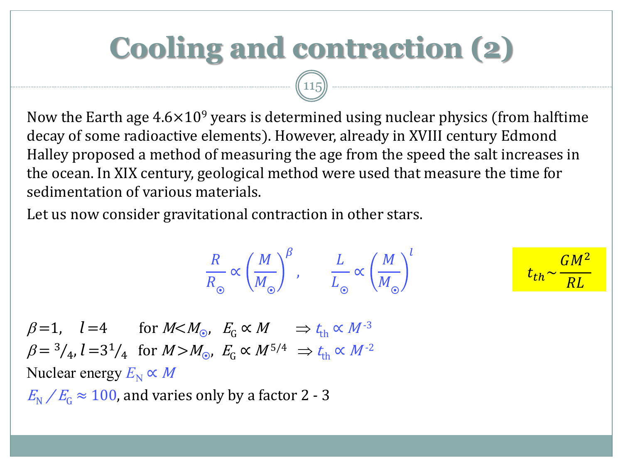## **Cooling and contraction (2)**

115

Now the Earth age  $4.6\times10^9$  years is determined using nuclear physics (from halftime decay of some radioactive elements). However, already in XVIII century Edmond Halley proposed a method of measuring the age from the speed the salt increases in the ocean. In XIX century, geological method were used that measure the time for sedimentation of various materials.

Let us now consider gravitational contraction in other stars.

$$
\frac{R}{R_{\odot}} \propto \left(\frac{M}{M_{\odot}}\right)^{\beta}, \qquad \frac{L}{L_{\odot}} \propto \left(\frac{M}{M_{\odot}}\right)^{l} \qquad \qquad t_{th} \sim \frac{GM^2}{RL}
$$

 $\beta=1$ ,  $l=4$  for  $M < M_{\odot}$ ,  $E_{\rm G} \propto M \Rightarrow t_{\rm th} \propto M^{-3}$  $\beta = {}^{3}/_{4}$ ,  $l = 3 {}^{1}/_{4}$  for  $M > M_{\odot}$ ,  $E_{G} \propto M^{5/4} \Rightarrow t_{th} \propto M^{-2}$ Nuclear energy  $E_N \propto M$  $E_{\rm N}$  /  $E_{\rm G}$   $\approx 100$ , and varies only by a factor 2 - 3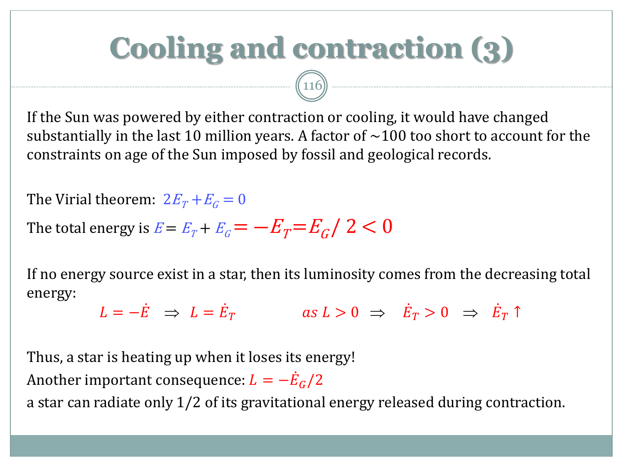## **Cooling and contraction (3)**

If the Sun was powered by either contraction or cooling, it would have changed substantially in the last 10 million years. A factor of  $\sim$ 100 too short to account for the constraints on age of the Sun imposed by fossil and geological records.

 $\boxed{116}$ 

The Virial theorem:  $2E_T + E_G = 0$ 

The total energy is  $E$  =  $E_{\scriptscriptstyle T}$  +  $E_{\scriptscriptstyle G}$   $=$   $- E_{\scriptscriptstyle T}$   $\!=$   $\! E_{\scriptscriptstyle G}$  /  $\, 2 < 0$ 

If no energy source exist in a star, then its luminosity comes from the decreasing total energy:

 $L = -\dot{E}$   $\Rightarrow$   $L = \dot{E}_T$  as  $L > 0$   $\Rightarrow$   $\dot{E}_T > 0$   $\Rightarrow$   $\dot{E}_T \uparrow$ 

Thus, a star is heating up when it loses its energy! Another important consequence:  $L = -\dot{E}_G/2$ 

a star can radiate only 1/2 of its gravitational energy released during contraction.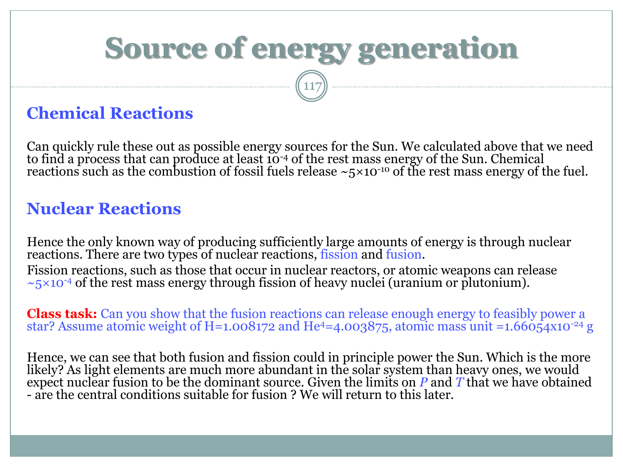# **Source of energy generation**

117

#### **Chemical Reactions**

Can quickly rule these out as possible energy sources for the Sun. We calculated above that we need to find a process that can produce at least  $10^{-4}$  of the rest mass energy of the Sun. Chemical reactions such as the combustion of fossil fuels release  $\sim$ 5×10<sup>-10</sup> of the rest mass energy of the fuel.

#### **Nuclear Reactions**

Hence the only known way of producing sufficiently large amounts of energy is through nuclear reactions. There are two types of nuclear reactions, fission and fusion. Fission reactions, such as those that occur in nuclear reactors, or atomic weapons can release  $\sim$ 5×10<sup>-4</sup> of the rest mass energy through fission of heavy nuclei (uranium or plutonium).

**Class task:** Can you show that the fusion reactions can release enough energy to feasibly power a star? Assume atomic weight of H=1.008172 and He<sup>4</sup>=4.003875, atomic mass unit =1.66054x10<sup>-24</sup> g

Hence, we can see that both fusion and fission could in principle power the Sun. Which is the more likely? As light elements are much more abundant in the solar system than heavy ones, we would expect nuclear fusion to be the dominant source. Given the limits on *P* and *T* that we have obtained - are the central conditions suitable for fusion ? We will return to this later.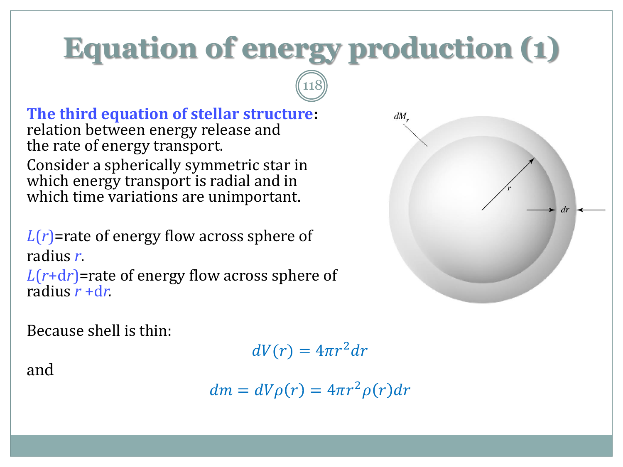## **Equation of energy production (1)**

118

**The third equation of stellar structure:** relation between energy release and the rate of energy transport. Consider a spherically symmetric star in which energy transport is radial and in which time variations are unimportant.

*L*(*r*)=rate of energy flow across sphere of radius *r*.

*L*(*r*+d*r*)=rate of energy flow across sphere of radius *r* +d*r.*

Because shell is thin:

 $dV(r) = 4\pi r^2 dr$ 

 $dm = dV\rho(r) = 4\pi r^2 \rho(r) dr$ 

and



 $dM$